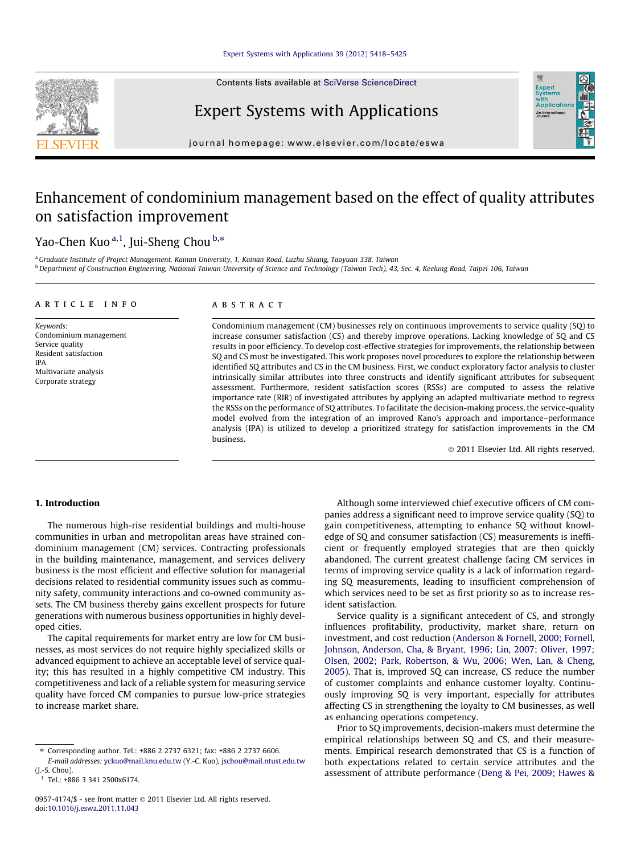Contents lists available at [SciVerse ScienceDirect](http://www.sciencedirect.com/science/journal/09574174)



# Expert Systems with Applications

journal homepage: [www.elsevier.com/locate/eswa](http://www.elsevier.com/locate/eswa)

## Enhancement of condominium management based on the effect of quality attributes on satisfaction improvement

### Yao-Chen Kuo<sup>a,1</sup>, Jui-Sheng Chou <sup>b,</sup>\*

a Graduate Institute of Project Management, Kainan University, 1, Kainan Road, Luzhu Shiang, Taoyuan 338, Taiwan <sup>b</sup> Department of Construction Engineering, National Taiwan University of Science and Technology (Taiwan Tech), 43, Sec. 4, Keelung Road, Taipei 106, Taiwan

#### article info

Keywords: Condominium management Service quality Resident satisfaction IPA Multivariate analysis Corporate strategy

#### ABSTRACT

Condominium management (CM) businesses rely on continuous improvements to service quality (SQ) to increase consumer satisfaction (CS) and thereby improve operations. Lacking knowledge of SQ and CS results in poor efficiency. To develop cost-effective strategies for improvements, the relationship between SQ and CS must be investigated. This work proposes novel procedures to explore the relationship between identified SQ attributes and CS in the CM business. First, we conduct exploratory factor analysis to cluster intrinsically similar attributes into three constructs and identify significant attributes for subsequent assessment. Furthermore, resident satisfaction scores (RSSs) are computed to assess the relative importance rate (RIR) of investigated attributes by applying an adapted multivariate method to regress the RSSs on the performance of SQ attributes. To facilitate the decision-making process, the service-quality model evolved from the integration of an improved Kano's approach and importance–performance analysis (IPA) is utilized to develop a prioritized strategy for satisfaction improvements in the CM business.

- 2011 Elsevier Ltd. All rights reserved.

Exper<br>Syster wim<br>Applicatic An Inter

#### 1. Introduction

The numerous high-rise residential buildings and multi-house communities in urban and metropolitan areas have strained condominium management (CM) services. Contracting professionals in the building maintenance, management, and services delivery business is the most efficient and effective solution for managerial decisions related to residential community issues such as community safety, community interactions and co-owned community assets. The CM business thereby gains excellent prospects for future generations with numerous business opportunities in highly developed cities.

The capital requirements for market entry are low for CM businesses, as most services do not require highly specialized skills or advanced equipment to achieve an acceptable level of service quality; this has resulted in a highly competitive CM industry. This competitiveness and lack of a reliable system for measuring service quality have forced CM companies to pursue low-price strategies to increase market share.

Although some interviewed chief executive officers of CM companies address a significant need to improve service quality (SQ) to gain competitiveness, attempting to enhance SQ without knowledge of SQ and consumer satisfaction (CS) measurements is inefficient or frequently employed strategies that are then quickly abandoned. The current greatest challenge facing CM services in terms of improving service quality is a lack of information regarding SQ measurements, leading to insufficient comprehension of which services need to be set as first priority so as to increase resident satisfaction.

Service quality is a significant antecedent of CS, and strongly influences profitability, productivity, market share, return on investment, and cost reduction [\(Anderson & Fornell, 2000; Fornell,](#page--1-0) [Johnson, Anderson, Cha, & Bryant, 1996; Lin, 2007; Oliver, 1997;](#page--1-0) [Olsen, 2002; Park, Robertson, & Wu, 2006; Wen, Lan, & Cheng,](#page--1-0) [2005\)](#page--1-0). That is, improved SQ can increase, CS reduce the number of customer complaints and enhance customer loyalty. Continuously improving SQ is very important, especially for attributes affecting CS in strengthening the loyalty to CM businesses, as well as enhancing operations competency.

Prior to SQ improvements, decision-makers must determine the empirical relationships between SQ and CS, and their measurements. Empirical research demonstrated that CS is a function of both expectations related to certain service attributes and the assessment of attribute performance [\(Deng & Pei, 2009; Hawes &](#page--1-0)

<sup>⇑</sup> Corresponding author. Tel.: +886 2 2737 6321; fax: +886 2 2737 6606. E-mail addresses: [yckuo@mail.knu.edu.tw](mailto:yckuo@mail.knu.edu.tw) (Y.-C. Kuo), [jschou@mail.ntust.edu.tw](mailto:jschou@mail.ntust.edu.tw) (J.-S. Chou).

 $1$  Tel.: +886 3 341 2500x6174.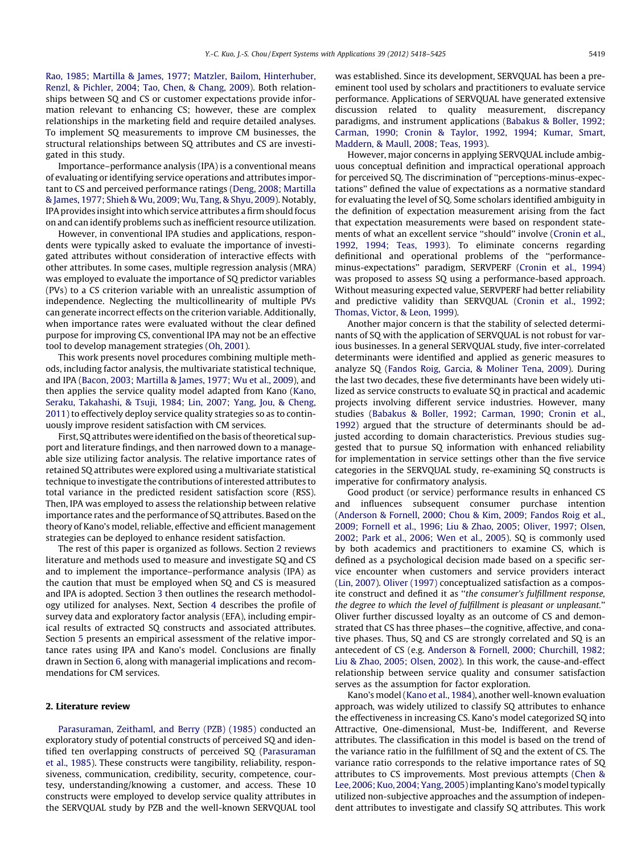[Rao, 1985; Martilla & James, 1977; Matzler, Bailom, Hinterhuber,](#page--1-0) [Renzl, & Pichler, 2004; Tao, Chen, & Chang, 2009](#page--1-0)). Both relationships between SQ and CS or customer expectations provide information relevant to enhancing CS; however, these are complex relationships in the marketing field and require detailed analyses. To implement SQ measurements to improve CM businesses, the structural relationships between SQ attributes and CS are investigated in this study.

Importance–performance analysis (IPA) is a conventional means of evaluating or identifying service operations and attributes important to CS and perceived performance ratings ([Deng, 2008; Martilla](#page--1-0) [& James, 1977; Shieh & Wu, 2009; Wu, Tang, & Shyu, 2009\)](#page--1-0). Notably, IPA provides insight into which service attributes a firm should focus on and can identify problems such as inefficient resource utilization.

However, in conventional IPA studies and applications, respondents were typically asked to evaluate the importance of investigated attributes without consideration of interactive effects with other attributes. In some cases, multiple regression analysis (MRA) was employed to evaluate the importance of SQ predictor variables (PVs) to a CS criterion variable with an unrealistic assumption of independence. Neglecting the multicollinearity of multiple PVs can generate incorrect effects on the criterion variable. Additionally, when importance rates were evaluated without the clear defined purpose for improving CS, conventional IPA may not be an effective tool to develop management strategies ([Oh, 2001\)](#page--1-0).

This work presents novel procedures combining multiple methods, including factor analysis, the multivariate statistical technique, and IPA [\(Bacon, 2003; Martilla & James, 1977; Wu et al., 2009\)](#page--1-0), and then applies the service quality model adapted from Kano ([Kano,](#page--1-0) [Seraku, Takahashi, & Tsuji, 1984; Lin, 2007; Yang, Jou, & Cheng,](#page--1-0) [2011\)](#page--1-0) to effectively deploy service quality strategies so as to continuously improve resident satisfaction with CM services.

First, SQ attributes were identified on the basis of theoretical support and literature findings, and then narrowed down to a manageable size utilizing factor analysis. The relative importance rates of retained SQ attributes were explored using a multivariate statistical technique to investigate the contributions of interested attributes to total variance in the predicted resident satisfaction score (RSS). Then, IPA was employed to assess the relationship between relative importance rates and the performance of SQ attributes. Based on the theory of Kano's model, reliable, effective and efficient management strategies can be deployed to enhance resident satisfaction.

The rest of this paper is organized as follows. Section 2 reviews literature and methods used to measure and investigate SQ and CS and to implement the importance–performance analysis (IPA) as the caution that must be employed when SQ and CS is measured and IPA is adopted. Section [3](#page--1-0) then outlines the research methodology utilized for analyses. Next, Section [4](#page--1-0) describes the profile of survey data and exploratory factor analysis (EFA), including empirical results of extracted SQ constructs and associated attributes. Section [5](#page--1-0) presents an empirical assessment of the relative importance rates using IPA and Kano's model. Conclusions are finally drawn in Section [6](#page--1-0), along with managerial implications and recommendations for CM services.

#### 2. Literature review

[Parasuraman, Zeithaml, and Berry \(PZB\) \(1985\)](#page--1-0) conducted an exploratory study of potential constructs of perceived SQ and identified ten overlapping constructs of perceived SQ [\(Parasuraman](#page--1-0) [et al., 1985\)](#page--1-0). These constructs were tangibility, reliability, responsiveness, communication, credibility, security, competence, courtesy, understanding/knowing a customer, and access. These 10 constructs were employed to develop service quality attributes in the SERVQUAL study by PZB and the well-known SERVQUAL tool was established. Since its development, SERVQUAL has been a preeminent tool used by scholars and practitioners to evaluate service performance. Applications of SERVQUAL have generated extensive discussion related to quality measurement, discrepancy paradigms, and instrument applications [\(Babakus & Boller, 1992;](#page--1-0) [Carman, 1990; Cronin & Taylor, 1992, 1994; Kumar, Smart,](#page--1-0) [Maddern, & Maull, 2008; Teas, 1993\)](#page--1-0).

However, major concerns in applying SERVQUAL include ambiguous conceptual definition and impractical operational approach for perceived SQ. The discrimination of ''perceptions-minus-expectations'' defined the value of expectations as a normative standard for evaluating the level of SQ. Some scholars identified ambiguity in the definition of expectation measurement arising from the fact that expectation measurements were based on respondent statements of what an excellent service ''should'' involve ([Cronin et al.,](#page--1-0) [1992, 1994; Teas, 1993\)](#page--1-0). To eliminate concerns regarding definitional and operational problems of the ''performanceminus-expectations'' paradigm, SERVPERF [\(Cronin et al., 1994\)](#page--1-0) was proposed to assess SQ using a performance-based approach. Without measuring expected value, SERVPERF had better reliability and predictive validity than SERVQUAL ([Cronin et al., 1992;](#page--1-0) [Thomas, Victor, & Leon, 1999\)](#page--1-0).

Another major concern is that the stability of selected determinants of SQ with the application of SERVQUAL is not robust for various businesses. In a general SERVQUAL study, five inter-correlated determinants were identified and applied as generic measures to analyze SQ ([Fandos Roig, Garcia, & Moliner Tena, 2009\)](#page--1-0). During the last two decades, these five determinants have been widely utilized as service constructs to evaluate SQ in practical and academic projects involving different service industries. However, many studies [\(Babakus & Boller, 1992; Carman, 1990; Cronin et al.,](#page--1-0) [1992\)](#page--1-0) argued that the structure of determinants should be adjusted according to domain characteristics. Previous studies suggested that to pursue SQ information with enhanced reliability for implementation in service settings other than the five service categories in the SERVQUAL study, re-examining SQ constructs is imperative for confirmatory analysis.

Good product (or service) performance results in enhanced CS and influences subsequent consumer purchase intention ([Anderson & Fornell, 2000; Chou & Kim, 2009; Fandos Roig et al.,](#page--1-0) [2009; Fornell et al., 1996; Liu & Zhao, 2005; Oliver, 1997; Olsen,](#page--1-0) [2002; Park et al., 2006; Wen et al., 2005](#page--1-0)). SQ is commonly used by both academics and practitioners to examine CS, which is defined as a psychological decision made based on a specific service encounter when customers and service providers interact ([Lin, 2007](#page--1-0)). [Oliver \(1997\)](#page--1-0) conceptualized satisfaction as a composite construct and defined it as ''the consumer's fulfillment response, the degree to which the level of fulfillment is pleasant or unpleasant.'' Oliver further discussed loyalty as an outcome of CS and demonstrated that CS has three phases—the cognitive, affective, and conative phases. Thus, SQ and CS are strongly correlated and SQ is an antecedent of CS (e.g. [Anderson & Fornell, 2000; Churchill, 1982;](#page--1-0) [Liu & Zhao, 2005; Olsen, 2002](#page--1-0)). In this work, the cause-and-effect relationship between service quality and consumer satisfaction serves as the assumption for factor exploration.

Kano's model ([Kano et al., 1984\)](#page--1-0), another well-known evaluation approach, was widely utilized to classify SQ attributes to enhance the effectiveness in increasing CS. Kano's model categorized SQ into Attractive, One-dimensional, Must-be, Indifferent, and Reverse attributes. The classification in this model is based on the trend of the variance ratio in the fulfillment of SQ and the extent of CS. The variance ratio corresponds to the relative importance rates of SQ attributes to CS improvements. Most previous attempts [\(Chen &](#page--1-0) [Lee, 2006; Kuo, 2004; Yang, 2005](#page--1-0)) implanting Kano's model typically utilized non-subjective approaches and the assumption of independent attributes to investigate and classify SQ attributes. This work